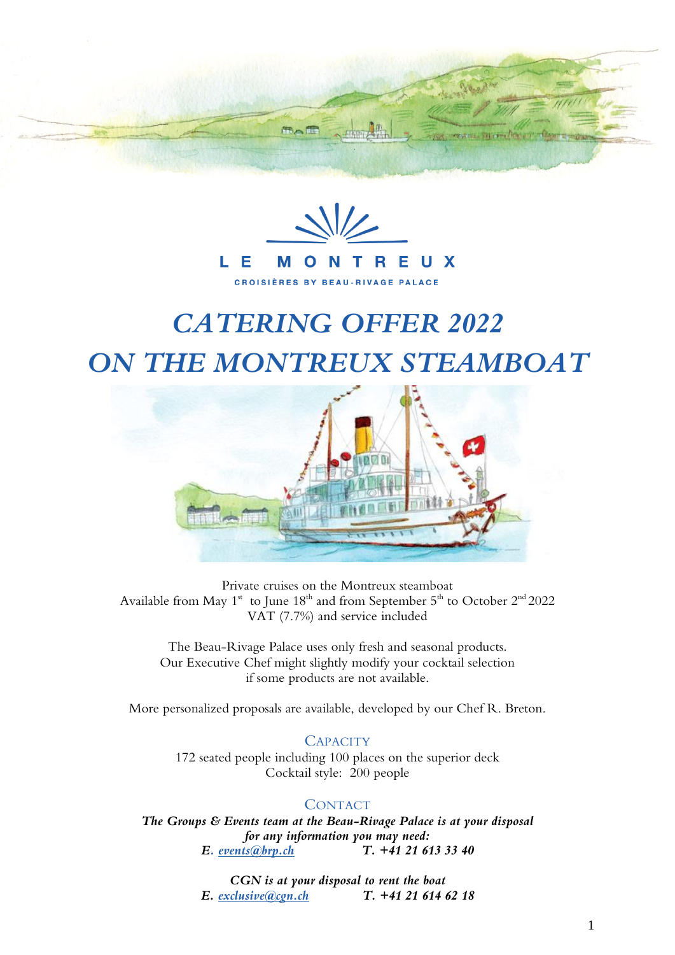



# *CATERING OFFER 2022 ON THE MONTREUX STEAMBOAT*



Private cruises on the Montreux steamboat Available from May  $1^{\text{st}}$  to June  $18^{\text{th}}$  and from September  $5^{\text{th}}$  to October  $2^{\text{nd}}$  2022 VAT (7.7%) and service included

The Beau-Rivage Palace uses only fresh and seasonal products. Our Executive Chef might slightly modify your cocktail selection if some products are not available.

More personalized proposals are available, developed by our Chef R. Breton.

# **CAPACITY**

172 seated people including 100 places on the superior deck Cocktail style: 200 people

# **CONTACT**

*The Groups & Events team at the Beau-Rivage Palace is at your disposal for any information you may need: E. [events@brp.ch](mailto:events@brp.ch) T. +41 21 613 33 40*

> *CGN is at your disposal to rent the boat E. [exclusive@cgn.ch](mailto:exclusive@cgn.ch) T. +41 21 614 62 18*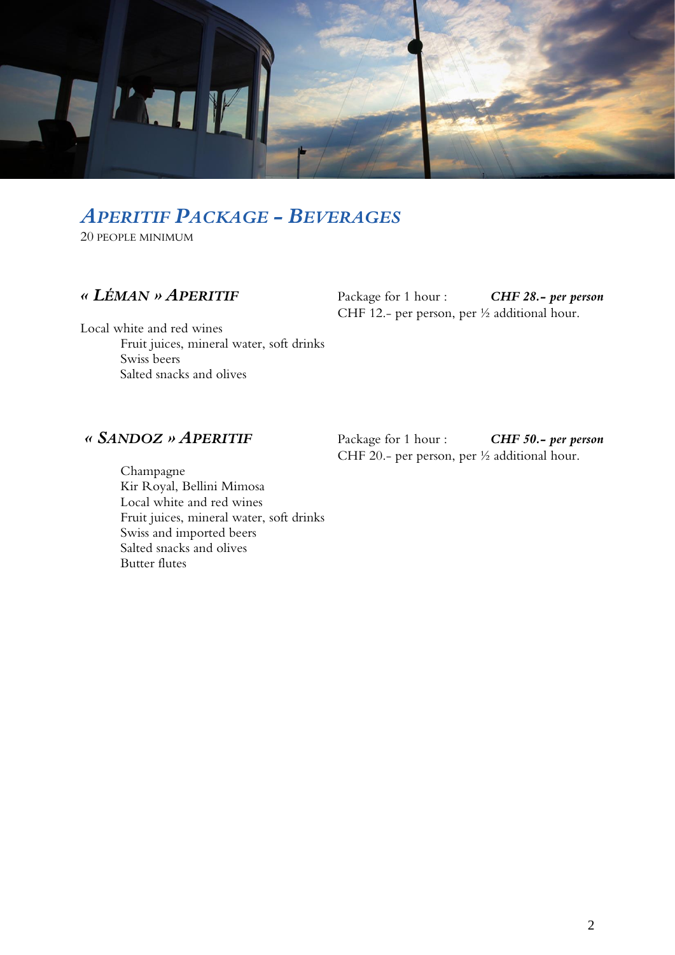

# *APERITIF PACKAGE - BEVERAGES*

20 PEOPLE MINIMUM

*« LÉMAN » APERITIF* Package for 1 hour : *CHF 28.- per person* CHF 12.- per person, per ½ additional hour.

Local white and red wines Fruit juices, mineral water, soft drinks Swiss beers Salted snacks and olives

*« SANDOZ » APERITIF* Package for 1 hour : *CHF 50.- per person* CHF 20.- per person, per ½ additional hour.

Champagne Kir Royal, Bellini Mimosa Local white and red wines Fruit juices, mineral water, soft drinks Swiss and imported beers Salted snacks and olives Butter flutes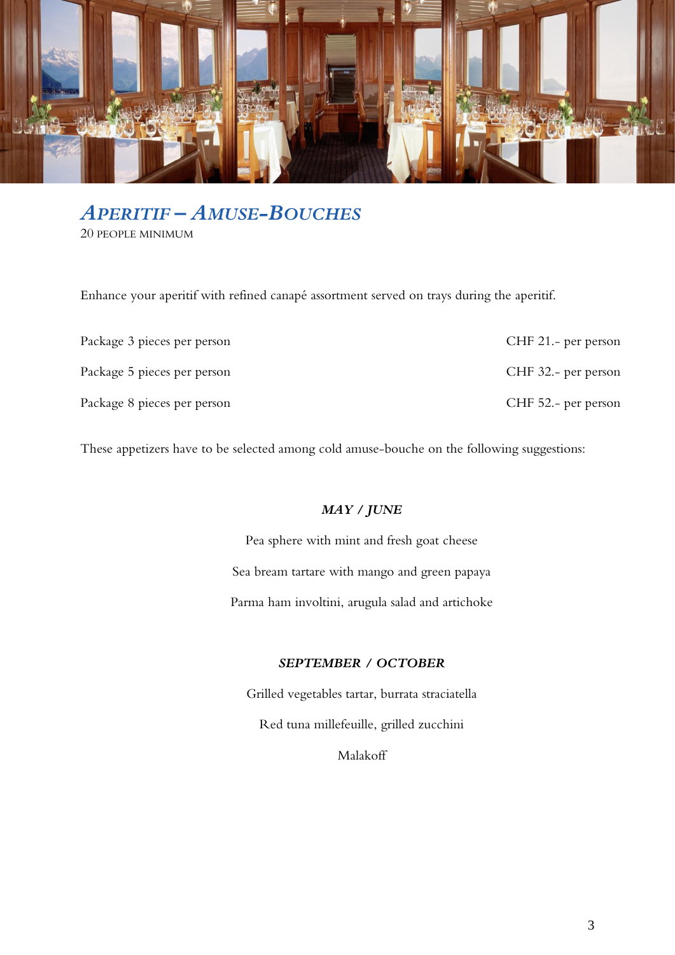

# *APERITIF – AMUSE-BOUCHES*

20 PEOPLE MINIMUM

Enhance your aperitif with refined canapé assortment served on trays during the aperitif.

| Package 3 pieces per person | CHF 21.- per person |
|-----------------------------|---------------------|
| Package 5 pieces per person | CHF 32.- per person |
| Package 8 pieces per person | CHF 52.- per person |

These appetizers have to be selected among cold amuse-bouche on the following suggestions:

# *MAY / JUNE*

Pea sphere with mint and fresh goat cheese Sea bream tartare with mango and green papaya Parma ham involtini, arugula salad and artichoke

# *SEPTEMBER / OCTOBER*

Grilled vegetables tartar, burrata straciatella Red tuna millefeuille, grilled zucchini

Malakoff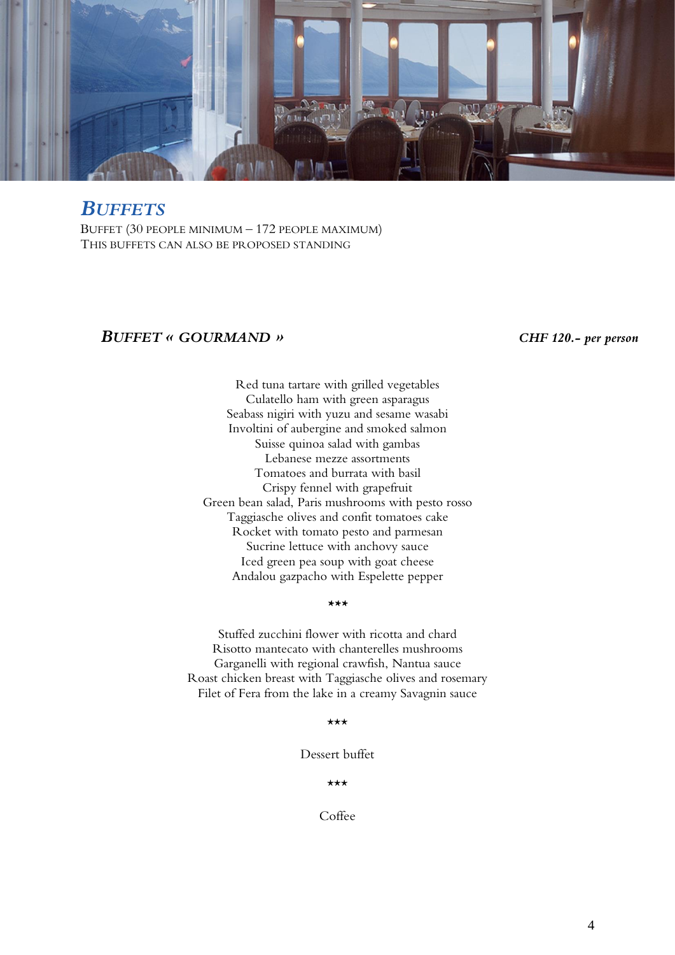

# *BUFFETS*

BUFFET (30 PEOPLE MINIMUM – 172 PEOPLE MAXIMUM) THIS BUFFETS CAN ALSO BE PROPOSED STANDING

# *BUFFET « GOURMAND » CHF 120.- per person*

Red tuna tartare with grilled vegetables Culatello ham with green asparagus Seabass nigiri with yuzu and sesame wasabi Involtini of aubergine and smoked salmon Suisse quinoa salad with gambas Lebanese mezze assortments Tomatoes and burrata with basil Crispy fennel with grapefruit Green bean salad, Paris mushrooms with pesto rosso Taggiasche olives and confit tomatoes cake Rocket with tomato pesto and parmesan Sucrine lettuce with anchovy sauce Iced green pea soup with goat cheese Andalou gazpacho with Espelette pepper

## *\*\*\**

Stuffed zucchini flower with ricotta and chard Risotto mantecato with chanterelles mushrooms Garganelli with regional crawfish, Nantua sauce Roast chicken breast with Taggiasche olives and rosemary Filet of Fera from the lake in a creamy Savagnin sauce

## \*\*\*

Dessert buffet

\*\*\*

Coffee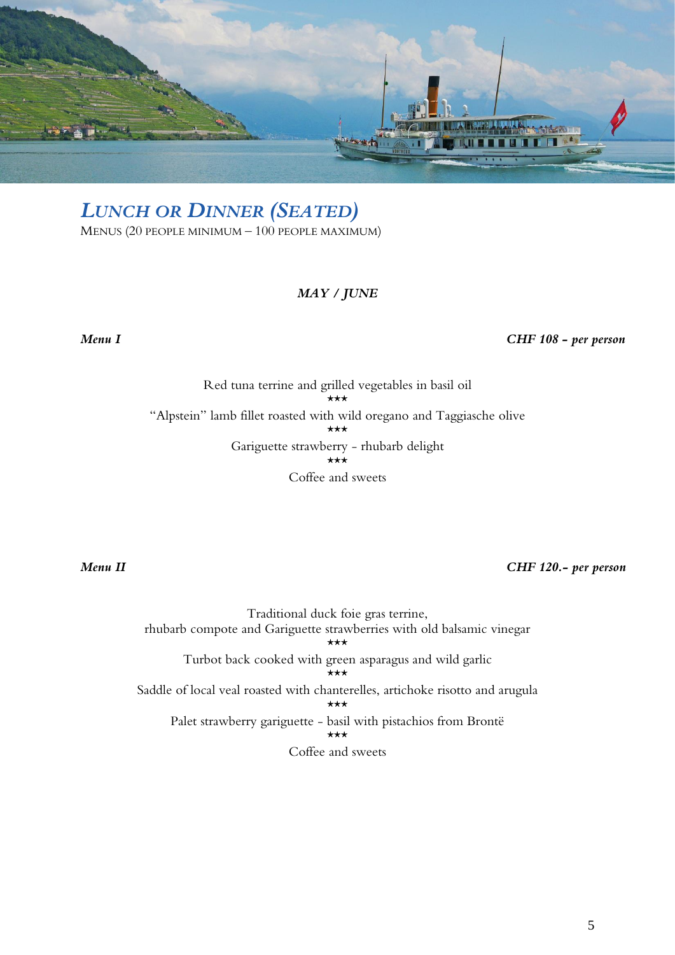

# *LUNCH OR DINNER (SEATED)*

MENUS (20 PEOPLE MINIMUM – 100 PEOPLE MAXIMUM)

# *MAY / JUNE*

*Menu I CHF 108 - per person* 

Red tuna terrine and grilled vegetables in basil oil \*\*\* "Alpstein" lamb fillet roasted with wild oregano and Taggiasche olive \*\*\* Gariguette strawberry - rhubarb delight  $\star\star\star$ Coffee and sweets

*Menu II CHF 120.- per person* 

Traditional duck foie gras terrine, rhubarb compote and Gariguette strawberries with old balsamic vinegar \*\*\* Turbot back cooked with green asparagus and wild garlic \*\*\* Saddle of local veal roasted with chanterelles, artichoke risotto and arugula \*\*\* Palet strawberry gariguette - basil with pistachios from Brontë \*\*\* Coffee and sweets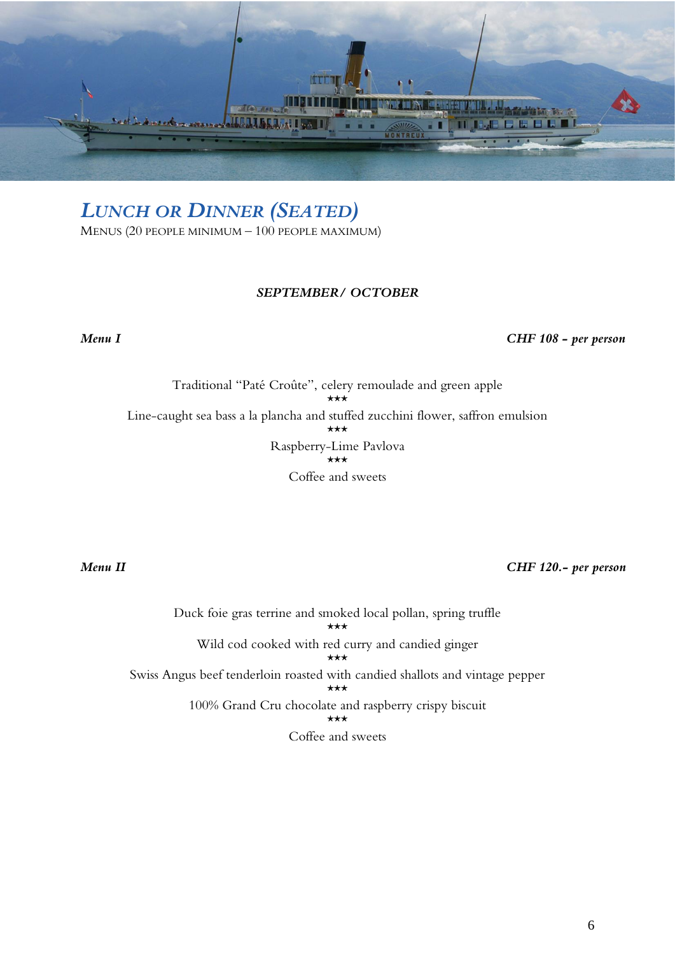

*LUNCH OR DINNER (SEATED)*

MENUS (20 PEOPLE MINIMUM – 100 PEOPLE MAXIMUM)

# *SEPTEMBER/ OCTOBER*

*Menu I CHF 108 - per person* 

Traditional "Paté Croûte", celery remoulade and green apple \*\*\* Line-caught sea bass a la plancha and stuffed zucchini flower, saffron emulsion \*\*\* Raspberry-Lime Pavlova \*\*\* Coffee and sweets

*Menu II CHF 120.- per person* 

Duck foie gras terrine and smoked local pollan, spring truffle \*\*\* Wild cod cooked with red curry and candied ginger \*\*\* Swiss Angus beef tenderloin roasted with candied shallots and vintage pepper \*\*\* 100% Grand Cru chocolate and raspberry crispy biscuit \*\*\* Coffee and sweets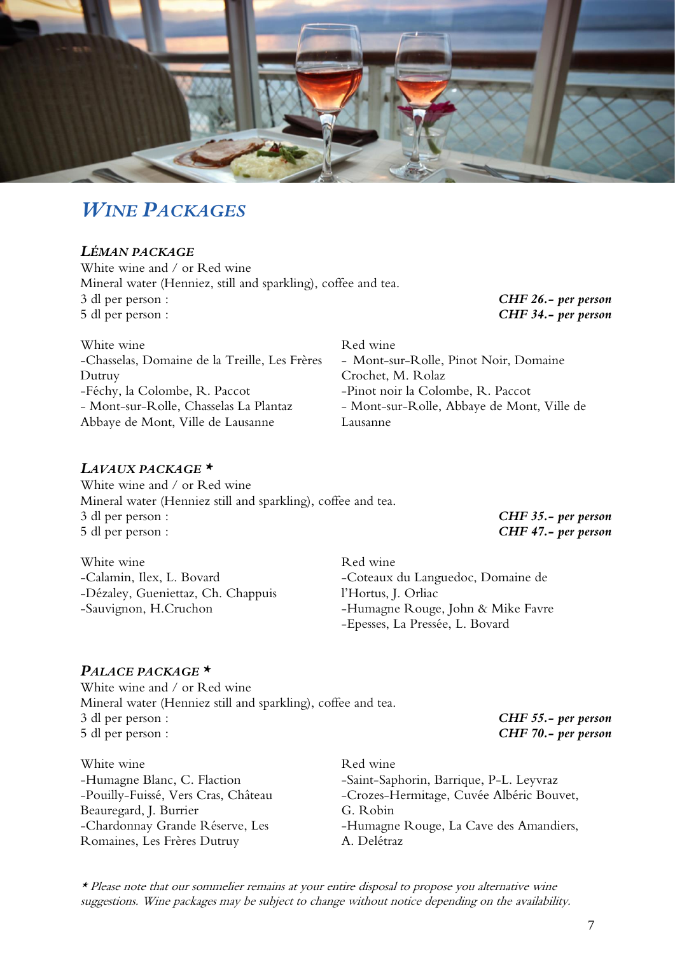

# *WINE PACKAGES*

# *LÉMAN PACKAGE*

White wine and / or Red wine Mineral water (Henniez, still and sparkling), coffee and tea. 3 dl per person : *CHF 26.- per person* 5 dl per person : *CHF 34.- per person*

| White wine                                    | Red wine                                   |
|-----------------------------------------------|--------------------------------------------|
| -Chasselas, Domaine de la Treille, Les Frères | - Mont-sur-Rolle, Pinot Noir, Domaine      |
| Dutruy                                        | Crochet, M. Rolaz                          |
| -Féchy, la Colombe, R. Paccot                 | -Pinot noir la Colombe, R. Paccot          |
| - Mont-sur-Rolle, Chasselas La Plantaz        | - Mont-sur-Rolle, Abbaye de Mont, Ville de |
| Abbaye de Mont, Ville de Lausanne             | Lausanne                                   |
|                                               |                                            |

# *LAVAUX PACKAGE \**

White wine and / or Red wine Mineral water (Henniez still and sparkling), coffee and tea. 3 dl per person : *CHF 35.- per person* 5 dl per person : *CHF 47.- per person*

White wine -Calamin, Ilex, L. Bovard -Dézaley, Gueniettaz, Ch. Chappuis -Sauvignon, H.Cruchon

Red wine -Coteaux du Languedoc, Domaine de l'Hortus, J. Orliac -Humagne Rouge, John & Mike Favre -Epesses, La Pressée, L. Bovard

# *PALACE PACKAGE \**

White wine and / or Red wine Mineral water (Henniez still and sparkling), coffee and tea. 3 dl per person : *CHF 55.- per person* 5 dl per person : *CHF 70.- per person*

White wine -Humagne Blanc, C. Flaction -Pouilly-Fuissé, Vers Cras, Château Beauregard, J. Burrier -Chardonnay Grande Réserve, Les Romaines, Les Frères Dutruy

Red wine -Saint-Saphorin, Barrique, P-L. Leyvraz -Crozes-Hermitage, Cuvée Albéric Bouvet, G. Robin -Humagne Rouge, La Cave des Amandiers, A. Delétraz

\* Please note that our sommelier remains at your entire disposal to propose you alternative wine suggestions. Wine packages may be subject to change without notice depending on the availability.